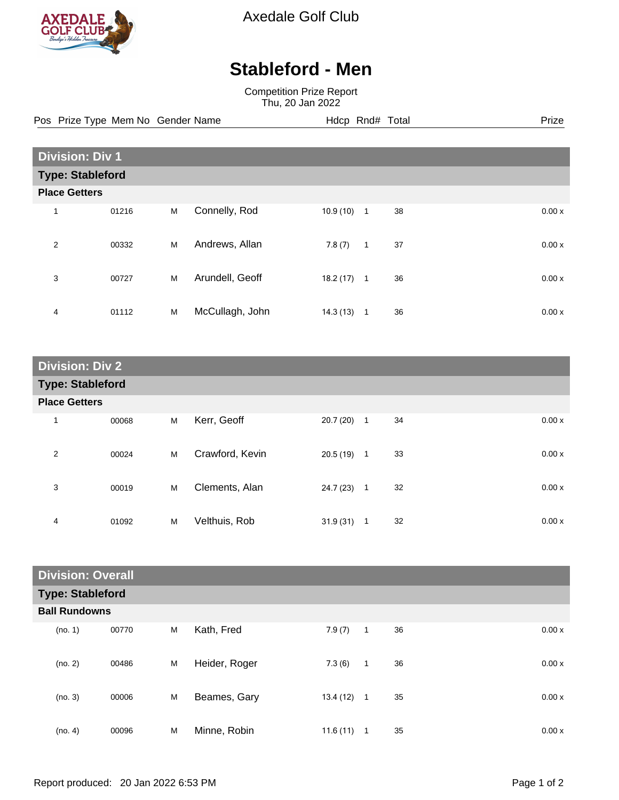

Axedale Golf Club

## **Stableford - Men**

Competition Prize Report Thu, 20 Jan 2022

Pos Prize Type Mem No Gender Name **Hdcp Rnd# Total** Prize Prize

| <b>Division: Div 1</b>  |       |   |                 |          |              |    |  |       |
|-------------------------|-------|---|-----------------|----------|--------------|----|--|-------|
| <b>Type: Stableford</b> |       |   |                 |          |              |    |  |       |
| <b>Place Getters</b>    |       |   |                 |          |              |    |  |       |
| 1                       | 01216 | M | Connelly, Rod   | 10.9(10) | $\mathbf{1}$ | 38 |  | 0.00x |
| $\overline{2}$          | 00332 | M | Andrews, Allan  | 7.8(7)   | $\mathbf{1}$ | 37 |  | 0.00x |
| 3                       | 00727 | M | Arundell, Geoff | 18.2(17) | $\mathbf{1}$ | 36 |  | 0.00x |
| 4                       | 01112 | M | McCullagh, John | 14.3(13) | 1            | 36 |  | 0.00x |

| <b>Division: Div 2</b>  |       |   |                 |              |                    |       |  |  |
|-------------------------|-------|---|-----------------|--------------|--------------------|-------|--|--|
| <b>Type: Stableford</b> |       |   |                 |              |                    |       |  |  |
| <b>Place Getters</b>    |       |   |                 |              |                    |       |  |  |
| 1                       | 00068 | M | Kerr, Geoff     | $20.7(20)$ 1 | 34                 | 0.00x |  |  |
| $\overline{2}$          | 00024 | M | Crawford, Kevin | $20.5(19)$ 1 | 33                 | 0.00x |  |  |
| 3                       | 00019 | M | Clements, Alan  | 24.7 (23)    | 32<br>$\mathbf{1}$ | 0.00x |  |  |
| 4                       | 01092 | M | Velthuis, Rob   | 31.9(31)     | 32<br>$\mathbf{1}$ | 0.00x |  |  |

| <b>Division: Overall</b> |       |   |               |              |              |    |  |       |
|--------------------------|-------|---|---------------|--------------|--------------|----|--|-------|
| <b>Type: Stableford</b>  |       |   |               |              |              |    |  |       |
| <b>Ball Rundowns</b>     |       |   |               |              |              |    |  |       |
| (no. 1)                  | 00770 | M | Kath, Fred    | 7.9(7)       | $\mathbf{1}$ | 36 |  | 0.00x |
| (no. 2)                  | 00486 | M | Heider, Roger | 7.3(6)       | $\mathbf{1}$ | 36 |  | 0.00x |
| (no. 3)                  | 00006 | M | Beames, Gary  | $13.4(12)$ 1 |              | 35 |  | 0.00x |
| (no. 4)                  | 00096 | M | Minne, Robin  | 11.6(11)     | 1            | 35 |  | 0.00x |